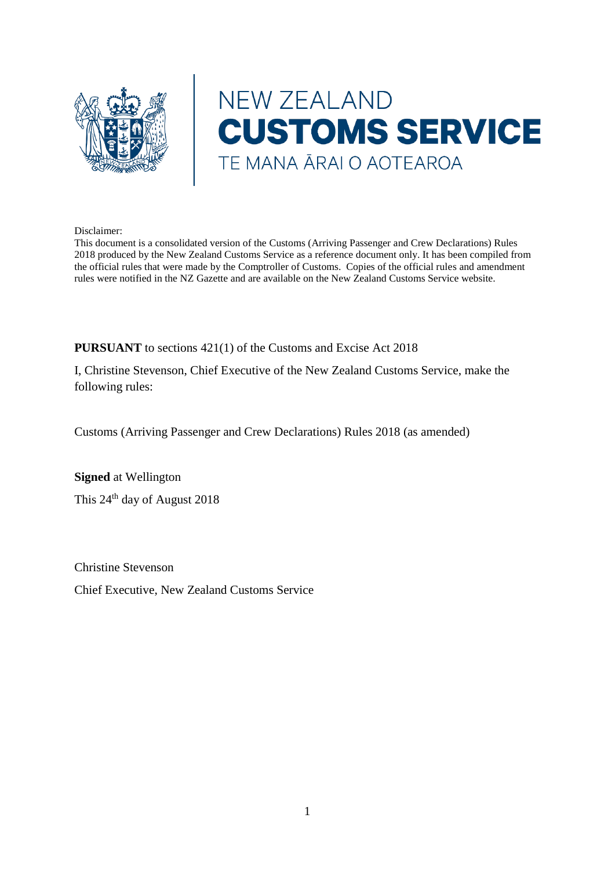

# NEW ZEALAND **CUSTOMS SERVICE** TE MANA ĀRAI O AOTEAROA

#### Disclaimer:

This document is a consolidated version of the Customs (Arriving Passenger and Crew Declarations) Rules 2018 produced by the New Zealand Customs Service as a reference document only. It has been compiled from the official rules that were made by the Comptroller of Customs. Copies of the official rules and amendment rules were notified in the NZ Gazette and are available on the New Zealand Customs Service website.

**PURSUANT** to sections 421(1) of the Customs and Excise Act 2018

I, Christine Stevenson, Chief Executive of the New Zealand Customs Service, make the following rules:

Customs (Arriving Passenger and Crew Declarations) Rules 2018 (as amended)

**Signed** at Wellington This 24<sup>th</sup> day of August 2018

Christine Stevenson

Chief Executive, New Zealand Customs Service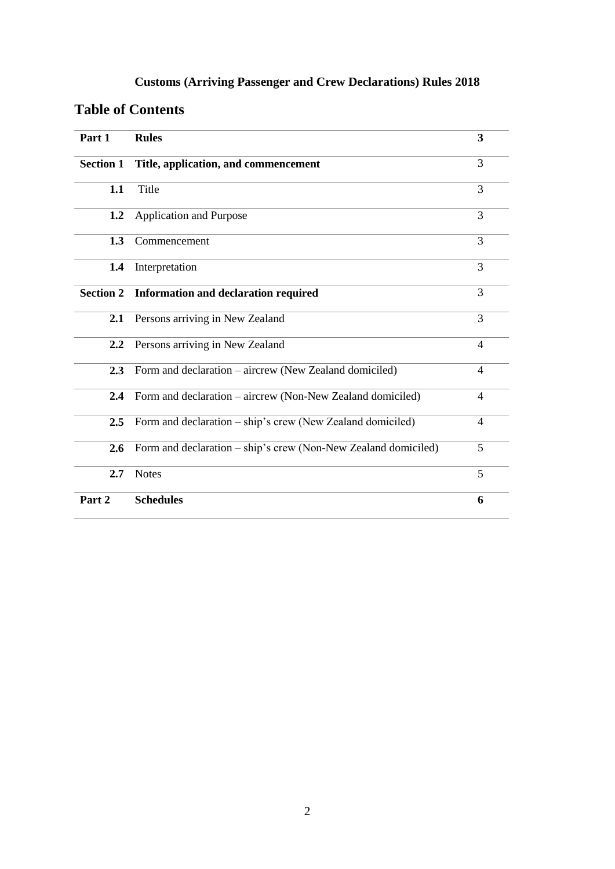### **Customs (Arriving Passenger and Crew Declarations) Rules 2018**

### **Table of Contents**

| Part 1           | <b>Rules</b>                                                   | 3                        |
|------------------|----------------------------------------------------------------|--------------------------|
| <b>Section 1</b> | Title, application, and commencement                           | 3                        |
| 1.1              | Title                                                          |                          |
| 1.2              | <b>Application and Purpose</b>                                 | 3                        |
| 1.3              | Commencement                                                   | 3                        |
| 1.4              | Interpretation                                                 | 3                        |
| <b>Section 2</b> | <b>Information and declaration required</b>                    |                          |
| 2.1              | Persons arriving in New Zealand                                |                          |
| 2.2              | Persons arriving in New Zealand                                | $\overline{\mathcal{A}}$ |
| 2.3              | Form and declaration – aircrew (New Zealand domiciled)         |                          |
| 2.4              | Form and declaration – aircrew (Non-New Zealand domiciled)     | $\overline{4}$           |
| 2.5              | Form and declaration - ship's crew (New Zealand domiciled)     |                          |
| 2.6              | Form and declaration – ship's crew (Non-New Zealand domiciled) | 5                        |
| 2.7              | <b>Notes</b>                                                   | 5                        |
| Part 2           | <b>Schedules</b>                                               | 6                        |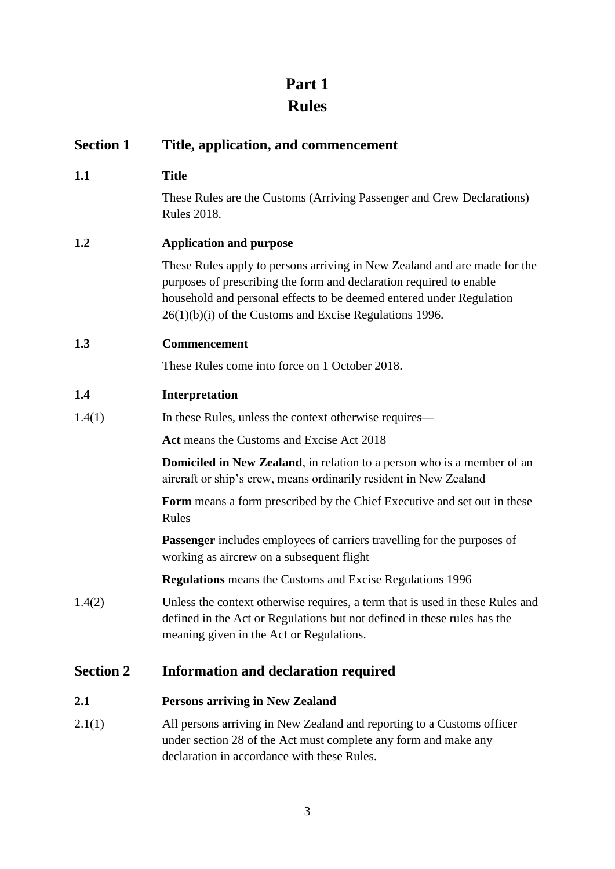## **Part 1 Rules**

| <b>Section 1</b> | Title, application, and commencement                                                                                                                                                                                                                                                  |  |
|------------------|---------------------------------------------------------------------------------------------------------------------------------------------------------------------------------------------------------------------------------------------------------------------------------------|--|
| 1.1              | <b>Title</b>                                                                                                                                                                                                                                                                          |  |
|                  | These Rules are the Customs (Arriving Passenger and Crew Declarations)<br><b>Rules 2018.</b>                                                                                                                                                                                          |  |
| 1.2              | <b>Application and purpose</b>                                                                                                                                                                                                                                                        |  |
|                  | These Rules apply to persons arriving in New Zealand and are made for the<br>purposes of prescribing the form and declaration required to enable<br>household and personal effects to be deemed entered under Regulation<br>$26(1)(b)(i)$ of the Customs and Excise Regulations 1996. |  |
| 1.3              | Commencement                                                                                                                                                                                                                                                                          |  |
|                  | These Rules come into force on 1 October 2018.                                                                                                                                                                                                                                        |  |
| 1.4              | Interpretation                                                                                                                                                                                                                                                                        |  |
| 1.4(1)           | In these Rules, unless the context otherwise requires—                                                                                                                                                                                                                                |  |
|                  | Act means the Customs and Excise Act 2018                                                                                                                                                                                                                                             |  |
|                  | <b>Domiciled in New Zealand</b> , in relation to a person who is a member of an<br>aircraft or ship's crew, means ordinarily resident in New Zealand                                                                                                                                  |  |
|                  | Form means a form prescribed by the Chief Executive and set out in these<br>Rules                                                                                                                                                                                                     |  |
|                  | <b>Passenger</b> includes employees of carriers travelling for the purposes of<br>working as aircrew on a subsequent flight                                                                                                                                                           |  |
|                  | <b>Regulations</b> means the Customs and Excise Regulations 1996                                                                                                                                                                                                                      |  |
| 1.4(2)           | Unless the context otherwise requires, a term that is used in these Rules and<br>defined in the Act or Regulations but not defined in these rules has the<br>meaning given in the Act or Regulations.                                                                                 |  |
| <b>Section 2</b> | <b>Information and declaration required</b>                                                                                                                                                                                                                                           |  |
| 2.1              | <b>Persons arriving in New Zealand</b>                                                                                                                                                                                                                                                |  |
| 2.1(1)           | All persons arriving in New Zealand and reporting to a Customs officer<br>under section 28 of the Act must complete any form and make any<br>declaration in accordance with these Rules.                                                                                              |  |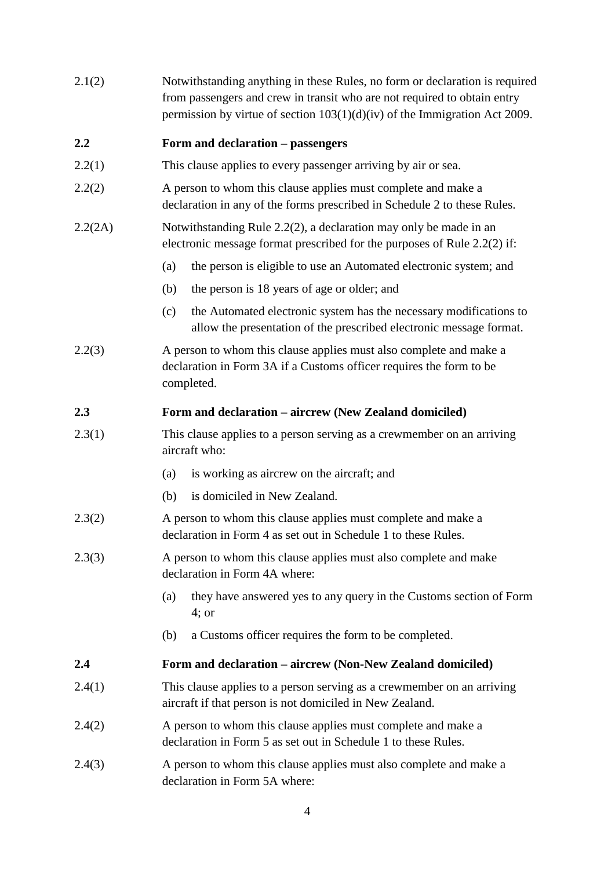| 2.1(2)  | Notwithstanding anything in these Rules, no form or declaration is required<br>from passengers and crew in transit who are not required to obtain entry<br>permission by virtue of section $103(1)(d)(iv)$ of the Immigration Act 2009. |  |  |
|---------|-----------------------------------------------------------------------------------------------------------------------------------------------------------------------------------------------------------------------------------------|--|--|
| 2.2     | Form and declaration – passengers                                                                                                                                                                                                       |  |  |
| 2.2(1)  | This clause applies to every passenger arriving by air or sea.                                                                                                                                                                          |  |  |
| 2.2(2)  | A person to whom this clause applies must complete and make a<br>declaration in any of the forms prescribed in Schedule 2 to these Rules.                                                                                               |  |  |
| 2.2(2A) | Notwithstanding Rule 2.2(2), a declaration may only be made in an<br>electronic message format prescribed for the purposes of Rule 2.2(2) if:                                                                                           |  |  |
|         | the person is eligible to use an Automated electronic system; and<br>(a)                                                                                                                                                                |  |  |
|         | the person is 18 years of age or older; and<br>(b)                                                                                                                                                                                      |  |  |
|         | the Automated electronic system has the necessary modifications to<br>(c)<br>allow the presentation of the prescribed electronic message format.                                                                                        |  |  |
| 2.2(3)  | A person to whom this clause applies must also complete and make a<br>declaration in Form 3A if a Customs officer requires the form to be<br>completed.                                                                                 |  |  |
| 2.3     | Form and declaration – aircrew (New Zealand domiciled)                                                                                                                                                                                  |  |  |
| 2.3(1)  | This clause applies to a person serving as a crewmember on an arriving<br>aircraft who:                                                                                                                                                 |  |  |
|         | is working as aircrew on the aircraft; and<br>(a)                                                                                                                                                                                       |  |  |
|         | is domiciled in New Zealand.<br>(b)                                                                                                                                                                                                     |  |  |
| 2.3(2)  | A person to whom this clause applies must complete and make a<br>declaration in Form 4 as set out in Schedule 1 to these Rules.                                                                                                         |  |  |
| 2.3(3)  | A person to whom this clause applies must also complete and make<br>declaration in Form 4A where:                                                                                                                                       |  |  |
|         | they have answered yes to any query in the Customs section of Form<br>(a)<br>$4$ ; or                                                                                                                                                   |  |  |
|         | a Customs officer requires the form to be completed.<br>(b)                                                                                                                                                                             |  |  |
| 2.4     | Form and declaration – aircrew (Non-New Zealand domiciled)                                                                                                                                                                              |  |  |
| 2.4(1)  | This clause applies to a person serving as a crewmember on an arriving<br>aircraft if that person is not domiciled in New Zealand.                                                                                                      |  |  |
| 2.4(2)  | A person to whom this clause applies must complete and make a<br>declaration in Form 5 as set out in Schedule 1 to these Rules.                                                                                                         |  |  |
| 2.4(3)  | A person to whom this clause applies must also complete and make a<br>declaration in Form 5A where:                                                                                                                                     |  |  |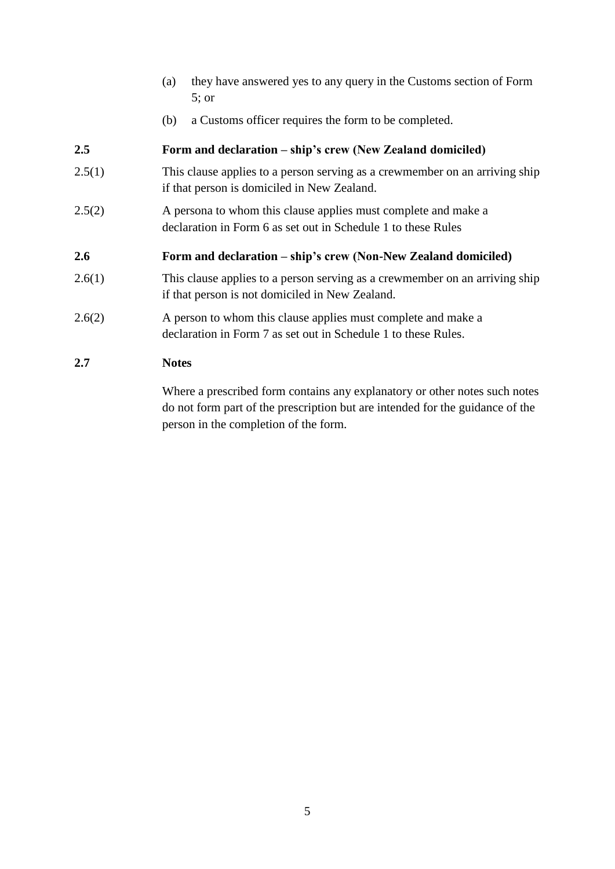- (a) they have answered yes to any query in the Customs section of Form 5; or
- (b) a Customs officer requires the form to be completed.

### **2.5 Form and declaration – ship's crew (New Zealand domiciled)**

- 2.5(1) This clause applies to a person serving as a crewmember on an arriving ship if that person is domiciled in New Zealand.
- 2.5(2) A persona to whom this clause applies must complete and make a declaration in Form 6 as set out in Schedule 1 to these Rules

#### **2.6 Form and declaration – ship's crew (Non-New Zealand domiciled)**

- 2.6(1) This clause applies to a person serving as a crewmember on an arriving ship if that person is not domiciled in New Zealand.
- 2.6(2) A person to whom this clause applies must complete and make a declaration in Form 7 as set out in Schedule 1 to these Rules.

#### **2.7 Notes**

Where a prescribed form contains any explanatory or other notes such notes do not form part of the prescription but are intended for the guidance of the person in the completion of the form.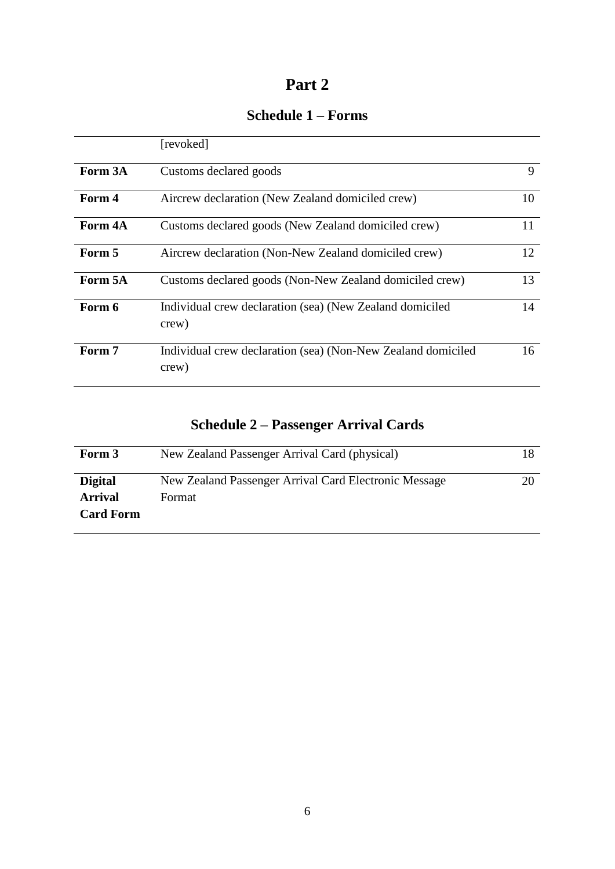### **Part 2**

### **Schedule 1 – Forms**

|         | [revoked]                                                             |    |
|---------|-----------------------------------------------------------------------|----|
| Form 3A | Customs declared goods                                                | 9  |
| Form 4  | Aircrew declaration (New Zealand domiciled crew)                      | 10 |
| Form 4A | Customs declared goods (New Zealand domiciled crew)                   | 11 |
| Form 5  | Aircrew declaration (Non-New Zealand domiciled crew)                  | 12 |
| Form 5A | Customs declared goods (Non-New Zealand domiciled crew)               | 13 |
| Form 6  | Individual crew declaration (sea) (New Zealand domiciled<br>crew)     |    |
| Form 7  | Individual crew declaration (sea) (Non-New Zealand domiciled<br>crew) | 16 |

### **Schedule 2 – Passenger Arrival Cards**

| Form 3           | New Zealand Passenger Arrival Card (physical)         |  |
|------------------|-------------------------------------------------------|--|
| <b>Digital</b>   | New Zealand Passenger Arrival Card Electronic Message |  |
| <b>Arrival</b>   | Format                                                |  |
| <b>Card Form</b> |                                                       |  |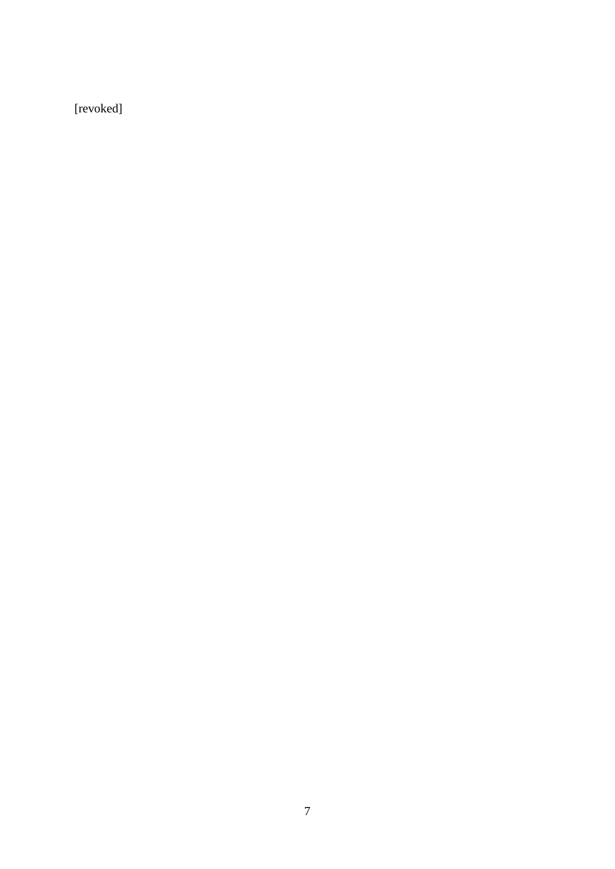[revoked]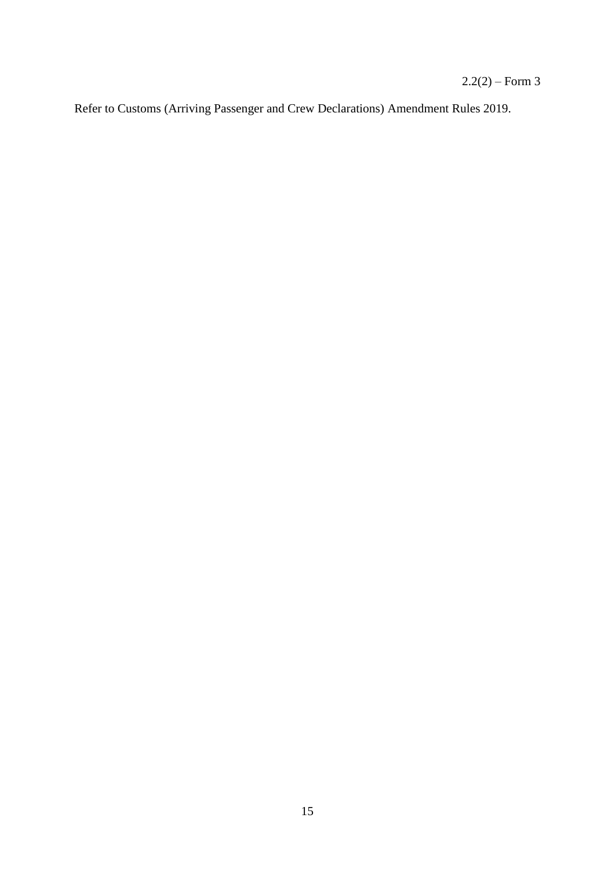$2.2(2) - Form\ 3$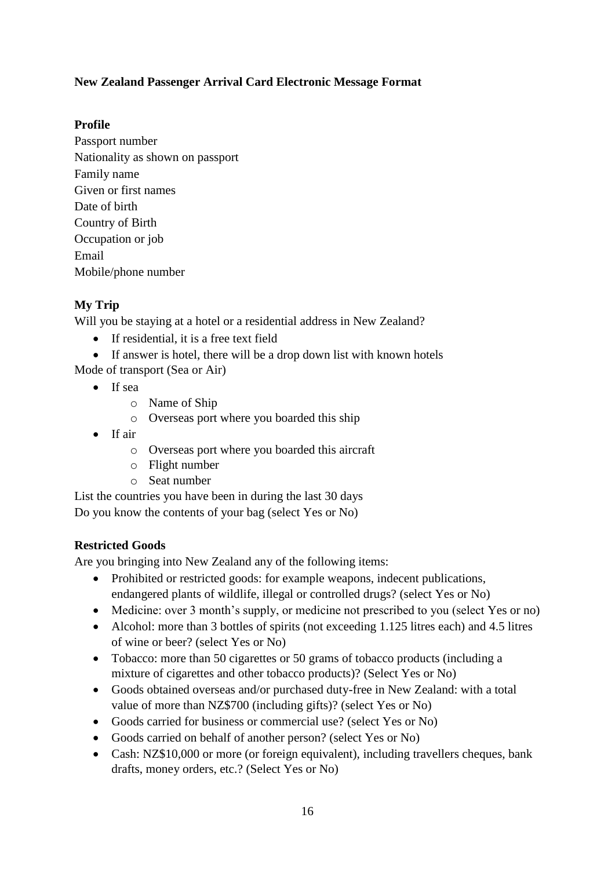### **New Zealand Passenger Arrival Card Electronic Message Format**

#### **Profile**

Passport number Nationality as shown on passport Family name Given or first names Date of birth Country of Birth Occupation or job Email Mobile/phone number

### **My Trip**

Will you be staying at a hotel or a residential address in New Zealand?

- If residential, it is a free text field
- If answer is hotel, there will be a drop down list with known hotels

Mode of transport (Sea or Air)

- If sea
	- o Name of Ship
	- o Overseas port where you boarded this ship
- If air
	- o Overseas port where you boarded this aircraft
	- o Flight number
	- o Seat number

List the countries you have been in during the last 30 days Do you know the contents of your bag (select Yes or No)

### **Restricted Goods**

Are you bringing into New Zealand any of the following items:

- Prohibited or restricted goods: for example weapons, indecent publications, endangered plants of wildlife, illegal or controlled drugs? (select Yes or No)
- Medicine: over 3 month's supply, or medicine not prescribed to you (select Yes or no)
- Alcohol: more than 3 bottles of spirits (not exceeding 1.125 litres each) and 4.5 litres of wine or beer? (select Yes or No)
- Tobacco: more than 50 cigarettes or 50 grams of tobacco products (including a mixture of cigarettes and other tobacco products)? (Select Yes or No)
- Goods obtained overseas and/or purchased duty-free in New Zealand: with a total value of more than NZ\$700 (including gifts)? (select Yes or No)
- Goods carried for business or commercial use? (select Yes or No)
- Goods carried on behalf of another person? (select Yes or No)
- Cash: NZ\$10,000 or more (or foreign equivalent), including travellers cheques, bank drafts, money orders, etc.? (Select Yes or No)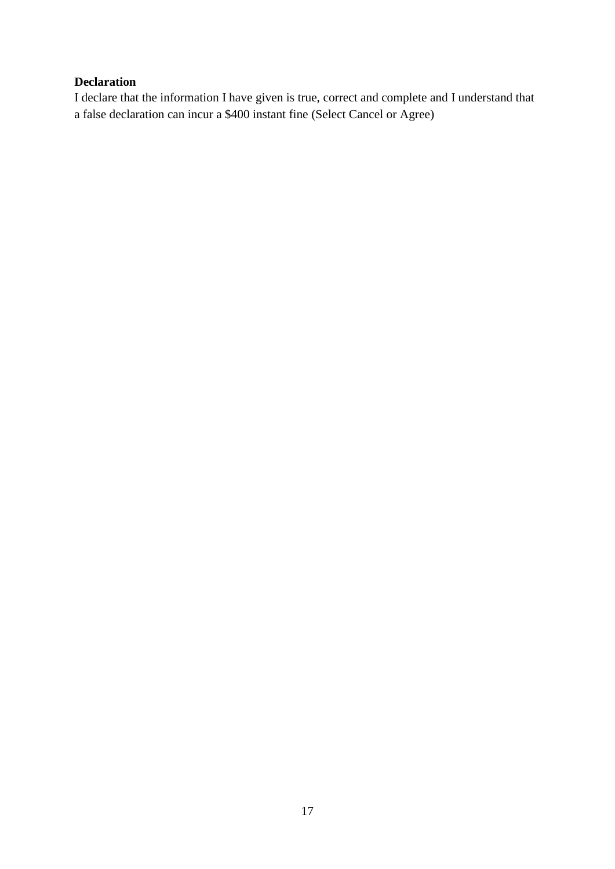### **Declaration**

I declare that the information I have given is true, correct and complete and I understand that a false declaration can incur a \$400 instant fine (Select Cancel or Agree)